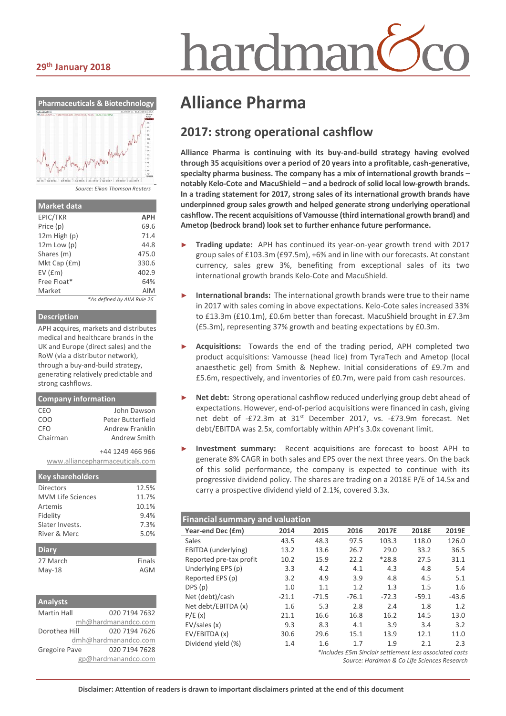#### **29th January 2018**



*Source: Eikon Thomson Reuters*

| <b>Market data</b> |                            |
|--------------------|----------------------------|
| EPIC/TKR           | <b>APH</b>                 |
| Price (p)          | 69.6                       |
| $12m$ High $(p)$   | 71.4                       |
| $12m$ Low $(p)$    | 44.8                       |
| Shares (m)         | 475.0                      |
| Mkt Cap (£m)       | 330.6                      |
| EV(fm)             | 402.9                      |
| Free Float*        | 64%                        |
| Market             | <b>AIM</b>                 |
|                    | *As defined by AIM Rule 26 |

#### **Description**

APH acquires, markets and distributes medical and healthcare brands in the UK and Europe (direct sales) and the RoW (via a distributor network), through a buy-and-build strategy, generating relatively predictable and strong cashflows.

| <b>Company information</b> |                                 |  |  |  |  |
|----------------------------|---------------------------------|--|--|--|--|
| CEO                        | John Dawson                     |  |  |  |  |
| COO                        | Peter Butterfield               |  |  |  |  |
| CFO<br>Chairman            | Andrew Franklin<br>Andrew Smith |  |  |  |  |
|                            |                                 |  |  |  |  |
|                            | +44 1249 466 966                |  |  |  |  |
|                            | www.alliancepharmaceuticals.com |  |  |  |  |
| <b>Key shareholders</b>    |                                 |  |  |  |  |
| Directors                  | 12.5%                           |  |  |  |  |
| <b>MVM Life Sciences</b>   | 11.7%                           |  |  |  |  |
| Artemis                    | 10.1%                           |  |  |  |  |
| Fidelity                   | 9.4%                            |  |  |  |  |
| Slater Invests.            | 7.3%                            |  |  |  |  |
| River & Merc               | 5.0%                            |  |  |  |  |

#### **Diary** 27 March Finals May-18 AGM

| <b>Analysts</b>    |                      |
|--------------------|----------------------|
| <b>Martin Hall</b> | 020 7194 7632        |
|                    | mh@hardmanandco.com  |
| Dorothea Hill      | 020 7194 7626        |
|                    | dmh@hardmanandco.com |
| Gregoire Pave      | 020 7194 7628        |
|                    | gp@hardmanandco.com  |

# nardmar

## **Alliance Pharma**

### **2017: strong operational cashflow**

**Alliance Pharma is continuing with its buy-and-build strategy having evolved through 35 acquisitions over a period of 20 years into a profitable, cash-generative, specialty pharma business. The company has a mix of international growth brands – notably Kelo-Cote and MacuShield – and a bedrock of solid local low-growth brands. In a trading statement for 2017, strong sales of its international growth brands have underpinned group sales growth and helped generate strong underlying operational cashflow. The recent acquisitions of Vamousse (third international growth brand) and Ametop (bedrock brand) look set to further enhance future performance.**

- ► **Trading update:** APH has continued its year-on-year growth trend with 2017 group sales of £103.3m (£97.5m), +6% and in line with our forecasts. At constant currency, sales grew 3%, benefiting from exceptional sales of its two international growth brands Kelo-Cote and MacuShield.
- ► **International brands:** The international growth brands were true to their name in 2017 with sales coming in above expectations. Kelo-Cote sales increased 33% to £13.3m (£10.1m), £0.6m better than forecast. MacuShield brought in £7.3m (£5.3m), representing 37% growth and beating expectations by £0.3m.
- Acquisitions: Towards the end of the trading period, APH completed two product acquisitions: Vamousse (head lice) from TyraTech and Ametop (local anaesthetic gel) from Smith & Nephew. Initial considerations of £9.7m and £5.6m, respectively, and inventories of £0.7m, were paid from cash resources.
- Net debt: Strong operational cashflow reduced underlying group debt ahead of expectations. However, end-of-period acquisitions were financed in cash, giving net debt of -£72.3m at 31<sup>st</sup> December 2017, vs. -£73.9m forecast. Net debt/EBITDA was 2.5x, comfortably within APH's 3.0x covenant limit.
- ► **Investment summary:** Recent acquisitions are forecast to boost APH to generate 8% CAGR in both sales and EPS over the next three years. On the back of this solid performance, the company is expected to continue with its progressive dividend policy. The shares are trading on a 2018E P/E of 14.5x and carry a prospective dividend yield of 2.1%, covered 3.3x.

| <b>Financial summary and valuation</b> |         |         |         |         |         |         |  |
|----------------------------------------|---------|---------|---------|---------|---------|---------|--|
| Year-end Dec (£m)                      | 2014    | 2015    | 2016    | 2017E   | 2018E   | 2019E   |  |
| Sales                                  | 43.5    | 48.3    | 97.5    | 103.3   | 118.0   | 126.0   |  |
| EBITDA (underlying)                    | 13.2    | 13.6    | 26.7    | 29.0    | 33.2    | 36.5    |  |
| Reported pre-tax profit                | 10.2    | 15.9    | 22.2    | $*28.8$ | 27.5    | 31.1    |  |
| Underlying EPS (p)                     | 3.3     | 4.2     | 4.1     | 4.3     | 4.8     | 5.4     |  |
| Reported EPS (p)                       | 3.2     | 4.9     | 3.9     | 4.8     | 4.5     | 5.1     |  |
| DPS(p)                                 | 1.0     | 1.1     | 1.2     | 1.3     | 1.5     | 1.6     |  |
| Net (debt)/cash                        | $-21.1$ | $-71.5$ | $-76.1$ | $-72.3$ | $-59.1$ | $-43.6$ |  |
| Net debt/EBITDA (x)                    | 1.6     | 5.3     | 2.8     | 2.4     | 1.8     | 1.2     |  |
| P/E(x)                                 | 21.1    | 16.6    | 16.8    | 16.2    | 14.5    | 13.0    |  |
| EV/sales(x)                            | 9.3     | 8.3     | 4.1     | 3.9     | 3.4     | 3.2     |  |
| EV/EBITDA (x)                          | 30.6    | 29.6    | 15.1    | 13.9    | 12.1    | 11.0    |  |
| Dividend yield (%)                     | 1.4     | 1.6     | 1.7     | 1.9     | 2.1     | 2.3     |  |

*\*Includes £5m Sinclair settlement less associated costs Source: Hardman & Co Life Sciences Research*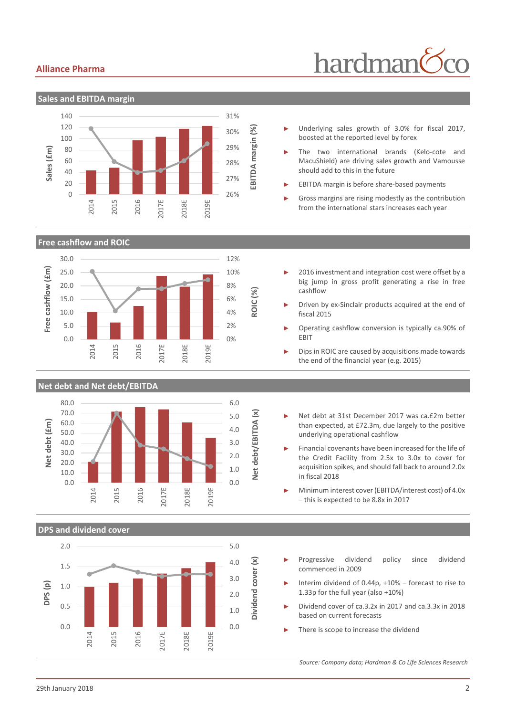#### **Alliance Pharma**

## hardman



- Underlying sales growth of 3.0% for fiscal 2017, boosted at the reported level by forex
- The two international brands (Kelo-cote and MacuShield) are driving sales growth and Vamousse should add to this in the future
- EBITDA margin is before share-based payments
- Gross margins are rising modestly as the contribution from the international stars increases each year

**Free cashflow and ROIC**



#### **Net debt and Net debt/EBITDA**



## **DPS and dividend cover**



- 2016 investment and integration cost were offset by a big jump in gross profit generating a rise in free cashflow
- Driven by ex-Sinclair products acquired at the end of fiscal 2015
- ► Operating cashflow conversion is typically ca.90% of EBIT
- Dips in ROIC are caused by acquisitions made towards the end of the financial year (e.g. 2015)
- ► Net debt at 31st December 2017 was ca.£2m better than expected, at £72.3m, due largely to the positive underlying operational cashflow

Financial covenants have been increased for the life of the Credit Facility from 2.5x to 3.0x to cover for acquisition spikes, and should fall back to around 2.0x in fiscal 2018

- ► Minimum interest cover (EBITDA/interest cost) of 4.0x – this is expected to be 8.8x in 2017
- Progressive dividend policy since dividend commenced in 2009
- Interim dividend of  $0.44p$ ,  $+10%$  forecast to rise to 1.33p for the full year (also +10%)
- ► Dividend cover of ca.3.2x in 2017 and ca.3.3x in 2018 based on current forecasts
- There is scope to increase the dividend

*Source: Company data; Hardman & Co Life Sciences Research*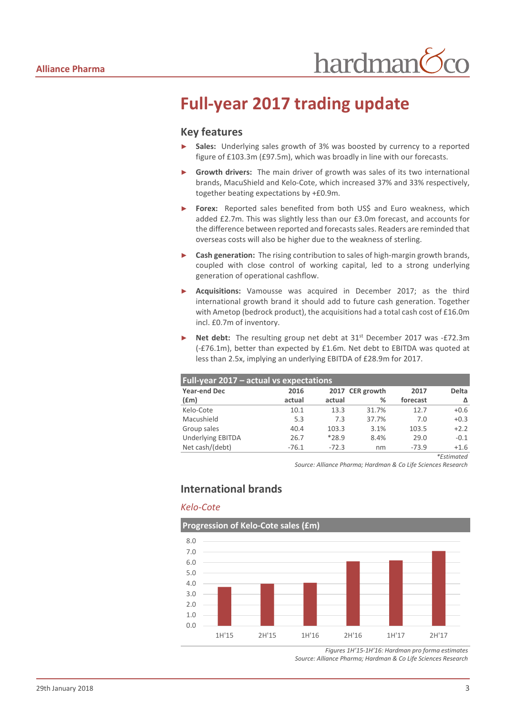## **Full-year 2017 trading update**

#### **Key features**

- Sales: Underlying sales growth of 3% was boosted by currency to a reported figure of £103.3m (£97.5m), which was broadly in line with our forecasts.
- Growth drivers: The main driver of growth was sales of its two international brands, MacuShield and Kelo-Cote, which increased 37% and 33% respectively, together beating expectations by +£0.9m.
- Forex: Reported sales benefited from both US\$ and Euro weakness, which added £2.7m. This was slightly less than our £3.0m forecast, and accounts for the difference between reported and forecasts sales. Readers are reminded that overseas costs will also be higher due to the weakness of sterling.
- ► **Cash generation:** The rising contribution to sales of high-margin growth brands, coupled with close control of working capital, led to a strong underlying generation of operational cashflow.
- ► **Acquisitions:** Vamousse was acquired in December 2017; as the third international growth brand it should add to future cash generation. Together with Ametop (bedrock product), the acquisitions had a total cash cost of £16.0m incl. £0.7m of inventory.
- Net debt: The resulting group net debt at 31<sup>st</sup> December 2017 was -£72.3m (-£76.1m), better than expected by £1.6m. Net debt to EBITDA was quoted at less than 2.5x, implying an underlying EBITDA of £28.9m for 2017.

| Full-year 2017 – actual vs expectations |         |         |                 |          |                                                                                                         |  |  |  |  |
|-----------------------------------------|---------|---------|-----------------|----------|---------------------------------------------------------------------------------------------------------|--|--|--|--|
| <b>Year-end Dec</b>                     | 2016    |         | 2017 CER growth | 2017     | <b>Delta</b>                                                                                            |  |  |  |  |
| (f.m)                                   | actual  | actual  | %               | forecast | Δ                                                                                                       |  |  |  |  |
| Kelo-Cote                               | 10.1    | 13.3    | 31.7%           | 12.7     | $+0.6$                                                                                                  |  |  |  |  |
| Macushield                              | 5.3     | 7.3     | 37.7%           | 7.0      | $+0.3$                                                                                                  |  |  |  |  |
| Group sales                             | 40.4    | 103.3   | 3.1%            | 103.5    | $+2.2$                                                                                                  |  |  |  |  |
| <b>Underlying EBITDA</b>                | 26.7    | $*28.9$ | 8.4%            | 29.0     | $-0.1$                                                                                                  |  |  |  |  |
| Net cash/(debt)                         | $-76.1$ | $-72.3$ | nm              | $-73.9$  | $+1.6$                                                                                                  |  |  |  |  |
|                                         |         |         |                 |          | $\frac{1}{2}$ and $\frac{1}{2}$ and $\frac{1}{2}$ and $\frac{1}{2}$ and $\frac{1}{2}$ and $\frac{1}{2}$ |  |  |  |  |

*\*Estimated*

*Source: Alliance Pharma; Hardman & Co Life Sciences Research*

#### **International brands**

#### *Kelo-Cote*



*Figures 1H'15-1H'16: Hardman pro forma estimates Source: Alliance Pharma; Hardman & Co Life Sciences Research*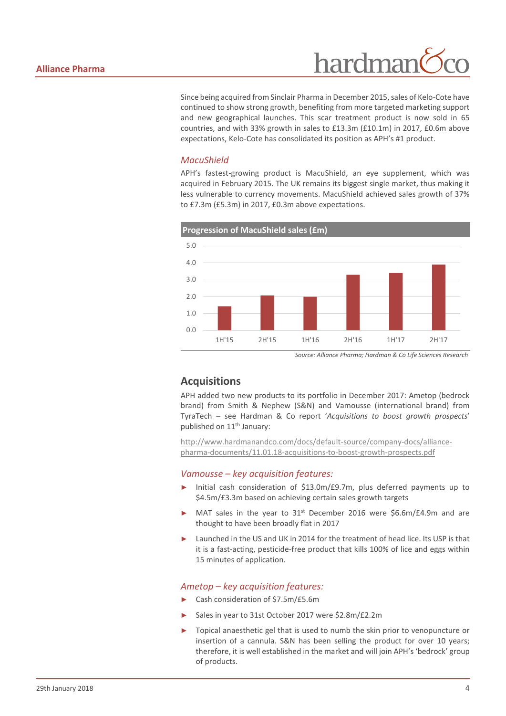

Since being acquired from Sinclair Pharma in December 2015, sales of Kelo-Cote have continued to show strong growth, benefiting from more targeted marketing support and new geographical launches. This scar treatment product is now sold in 65 countries, and with 33% growth in sales to £13.3m (£10.1m) in 2017, £0.6m above expectations, Kelo-Cote has consolidated its position as APH's #1 product.

#### *MacuShield*

APH's fastest-growing product is MacuShield, an eye supplement, which was acquired in February 2015. The UK remains its biggest single market, thus making it less vulnerable to currency movements. MacuShield achieved sales growth of 37% to £7.3m (£5.3m) in 2017, £0.3m above expectations.



*Source: Alliance Pharma; Hardman & Co Life Sciences Research*

#### **Acquisitions**

APH added two new products to its portfolio in December 2017: Ametop (bedrock brand) from Smith & Nephew (S&N) and Vamousse (international brand) from TyraTech – see Hardman & Co report '*Acquisitions to boost growth prospects*' published on 11<sup>th</sup> January:

[http://www.hardmanandco.com/docs/default-source/company-docs/alliance](http://www.hardmanandco.com/docs/default-source/company-docs/alliance-pharma-documents/11.01.18-acquisitions-to-boost-growth-prospects.pdf)[pharma-documents/11.01.18-acquisitions-to-boost-growth-prospects.pdf](http://www.hardmanandco.com/docs/default-source/company-docs/alliance-pharma-documents/11.01.18-acquisitions-to-boost-growth-prospects.pdf)

#### *Vamousse – key acquisition features:*

- Initial cash consideration of \$13.0m/£9.7m, plus deferred payments up to \$4.5m/£3.3m based on achieving certain sales growth targets
- MAT sales in the year to  $31<sup>st</sup>$  December 2016 were \$6.6m/£4.9m and are thought to have been broadly flat in 2017
- Launched in the US and UK in 2014 for the treatment of head lice. Its USP is that it is a fast-acting, pesticide-free product that kills 100% of lice and eggs within 15 minutes of application.

#### *Ametop – key acquisition features:*

- ► Cash consideration of \$7.5m/£5.6m
- Sales in year to 31st October 2017 were \$2.8m/£2.2m
- Topical anaesthetic gel that is used to numb the skin prior to venopuncture or insertion of a cannula. S&N has been selling the product for over 10 years; therefore, it is well established in the market and will join APH's 'bedrock' group of products.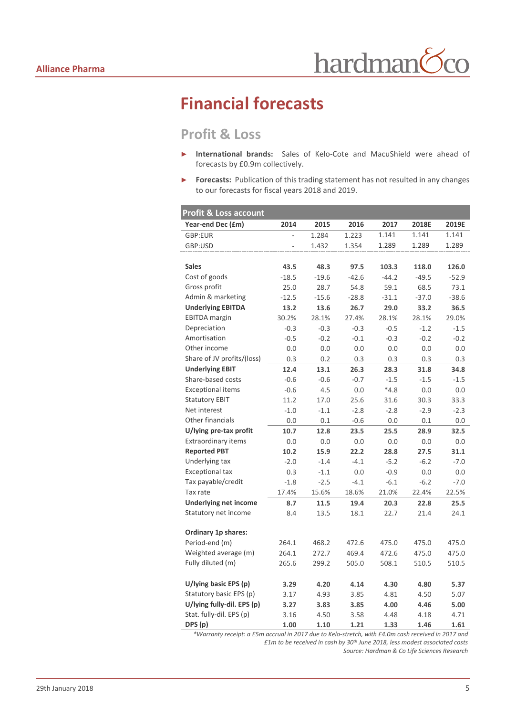## **Financial forecasts**

## **Profit & Loss**

- ► **International brands:** Sales of Kelo-Cote and MacuShield were ahead of forecasts by £0.9m collectively.
- ► **Forecasts:** Publication of this trading statement has not resulted in any changes to our forecasts for fiscal years 2018 and 2019.

| <b>Profit &amp; Loss account</b> |         |         |         |         |         |         |
|----------------------------------|---------|---------|---------|---------|---------|---------|
| Year-end Dec (£m)                | 2014    | 2015    | 2016    | 2017    | 2018E   | 2019E   |
| GBP:EUR                          |         | 1.284   | 1.223   | 1.141   | 1.141   | 1.141   |
| GBP:USD                          |         | 1.432   | 1.354   | 1.289   | 1.289   | 1.289   |
|                                  |         |         |         |         |         |         |
| <b>Sales</b>                     | 43.5    | 48.3    | 97.5    | 103.3   | 118.0   | 126.0   |
| Cost of goods                    | $-18.5$ | $-19.6$ | $-42.6$ | $-44.2$ | $-49.5$ | $-52.9$ |
| Gross profit                     | 25.0    | 28.7    | 54.8    | 59.1    | 68.5    | 73.1    |
| Admin & marketing                | $-12.5$ | $-15.6$ | $-28.8$ | $-31.1$ | $-37.0$ | $-38.6$ |
| <b>Underlying EBITDA</b>         | 13.2    | 13.6    | 26.7    | 29.0    | 33.2    | 36.5    |
| <b>EBITDA</b> margin             | 30.2%   | 28.1%   | 27.4%   | 28.1%   | 28.1%   | 29.0%   |
| Depreciation                     | $-0.3$  | $-0.3$  | $-0.3$  | $-0.5$  | $-1.2$  | $-1.5$  |
| Amortisation                     | $-0.5$  | $-0.2$  | $-0.1$  | $-0.3$  | $-0.2$  | $-0.2$  |
| Other income                     | 0.0     | 0.0     | 0.0     | 0.0     | 0.0     | 0.0     |
| Share of JV profits/(loss)       | 0.3     | 0.2     | 0.3     | 0.3     | 0.3     | 0.3     |
| <b>Underlying EBIT</b>           | 12.4    | 13.1    | 26.3    | 28.3    | 31.8    | 34.8    |
| Share-based costs                | $-0.6$  | $-0.6$  | $-0.7$  | $-1.5$  | $-1.5$  | $-1.5$  |
| <b>Exceptional items</b>         | $-0.6$  | 4.5     | 0.0     | $*4.8$  | 0.0     | 0.0     |
| <b>Statutory EBIT</b>            | 11.2    | 17.0    | 25.6    | 31.6    | 30.3    | 33.3    |
| Net interest                     | $-1.0$  | $-1.1$  | $-2.8$  | $-2.8$  | $-2.9$  | $-2.3$  |
| Other financials                 | 0.0     | 0.1     | $-0.6$  | 0.0     | 0.1     | 0.0     |
| U/lying pre-tax profit           | 10.7    | 12.8    | 23.5    | 25.5    | 28.9    | 32.5    |
| <b>Extraordinary items</b>       | 0.0     | 0.0     | 0.0     | 0.0     | 0.0     | 0.0     |
| <b>Reported PBT</b>              | 10.2    | 15.9    | 22.2    | 28.8    | 27.5    | 31.1    |
| Underlying tax                   | $-2.0$  | $-1.4$  | $-4.1$  | $-5.2$  | $-6.2$  | $-7.0$  |
| <b>Exceptional tax</b>           | 0.3     | $-1.1$  | 0.0     | $-0.9$  | 0.0     | 0.0     |
| Tax payable/credit               | $-1.8$  | $-2.5$  | $-4.1$  | $-6.1$  | $-6.2$  | $-7.0$  |
| Tax rate                         | 17.4%   | 15.6%   | 18.6%   | 21.0%   | 22.4%   | 22.5%   |
| <b>Underlying net income</b>     | 8.7     | 11.5    | 19.4    | 20.3    | 22.8    | 25.5    |
| Statutory net income             | 8.4     | 13.5    | 18.1    | 22.7    | 21.4    | 24.1    |
|                                  |         |         |         |         |         |         |
| <b>Ordinary 1p shares:</b>       |         |         |         |         |         |         |
| Period-end (m)                   | 264.1   | 468.2   | 472.6   | 475.0   | 475.0   | 475.0   |
| Weighted average (m)             | 264.1   | 272.7   | 469.4   | 472.6   | 475.0   | 475.0   |
| Fully diluted (m)                | 265.6   | 299.2   | 505.0   | 508.1   | 510.5   | 510.5   |
| U/lying basic EPS (p)            | 3.29    | 4.20    | 4.14    | 4.30    | 4.80    | 5.37    |
| Statutory basic EPS (p)          | 3.17    | 4.93    | 3.85    | 4.81    | 4.50    | 5.07    |
| U/lying fully-dil. EPS (p)       | 3.27    | 3.83    | 3.85    | 4.00    | 4.46    | 5.00    |
| Stat. fully-dil. EPS (p)         | 3.16    | 4.50    | 3.58    | 4.48    | 4.18    | 4.71    |
| DPS (p)                          | 1.00    | 1.10    | 1.21    | 1.33    | 1.46    | 1.61    |

*\*Warranty receipt: a £5m accrual in 2017 due to Kelo-stretch, with £4.0m cash received in 2017 and £1m to be received in cash by 30th June 2018, less modest associated costs Source: Hardman & Co Life Sciences Research*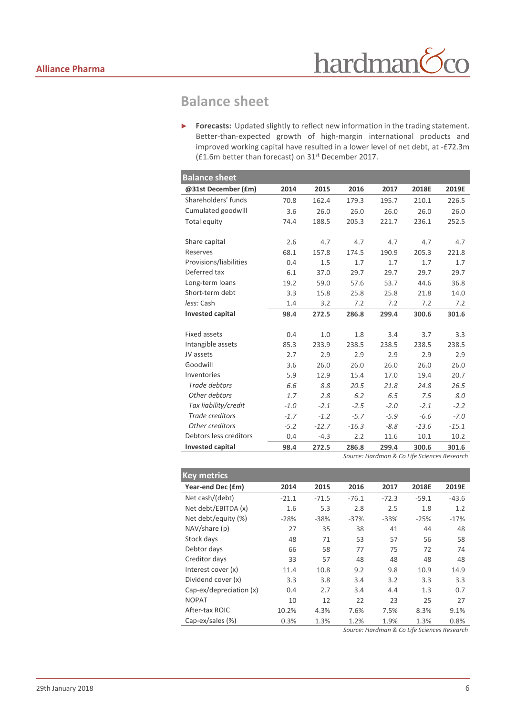## **Balance sheet**

► **Forecasts:** Updated slightly to reflect new information in the trading statement. Better-than-expected growth of high-margin international products and improved working capital have resulted in a lower level of net debt, at -£72.3m (£1.6m better than forecast) on 31st December 2017.

| <b>Balance sheet</b>    |        |         |         |        |         |         |
|-------------------------|--------|---------|---------|--------|---------|---------|
| @31st December (£m)     | 2014   | 2015    | 2016    | 2017   | 2018E   | 2019E   |
| Shareholders' funds     | 70.8   | 162.4   | 179.3   | 195.7  | 210.1   | 226.5   |
| Cumulated goodwill      | 3.6    | 26.0    | 26.0    | 26.0   | 26.0    | 26.0    |
| Total equity            | 74.4   | 188.5   | 205.3   | 221.7  | 236.1   | 252.5   |
| Share capital           | 2.6    | 4.7     | 4.7     | 4.7    | 4.7     | 4.7     |
| Reserves                | 68.1   | 157.8   | 174.5   | 190.9  | 205.3   | 221.8   |
| Provisions/liabilities  | 0.4    | 1.5     | 1.7     | 1.7    | 1.7     | 1.7     |
| Deferred tax            | 6.1    | 37.0    | 29.7    | 29.7   | 29.7    | 29.7    |
| Long-term loans         | 19.2   | 59.0    | 57.6    | 53.7   | 44.6    | 36.8    |
| Short-term debt         | 3.3    | 15.8    | 25.8    | 25.8   | 21.8    | 14.0    |
| less: Cash              | 1.4    | 3.2     | 7.2     | 7.2    | 7.2     | 7.2     |
| <b>Invested capital</b> | 98.4   | 272.5   | 286.8   | 299.4  | 300.6   | 301.6   |
| <b>Fixed assets</b>     | 0.4    | 1.0     | 1.8     | 3.4    | 3.7     | 3.3     |
| Intangible assets       | 85.3   | 233.9   | 238.5   | 238.5  | 238.5   | 238.5   |
| JV assets               | 2.7    | 2.9     | 2.9     | 2.9    | 2.9     | 2.9     |
| Goodwill                | 3.6    | 26.0    | 26.0    | 26.0   | 26.0    | 26.0    |
| Inventories             | 5.9    | 12.9    | 15.4    | 17.0   | 19.4    | 20.7    |
| Trade debtors           | 6.6    | 8.8     | 20.5    | 21.8   | 24.8    | 26.5    |
| Other debtors           | 1.7    | 2.8     | 6.2     | 6.5    | 7.5     | 8.0     |
| Tax liability/credit    | $-1.0$ | $-2.1$  | $-2.5$  | $-2.0$ | $-2.1$  | $-2.2$  |
| Trade creditors         | $-1.7$ | $-1.2$  | $-5.7$  | $-5.9$ | $-6.6$  | $-7.0$  |
| Other creditors         | $-5.2$ | $-12.7$ | $-16.3$ | $-8.8$ | $-13.6$ | $-15.1$ |
| Debtors less creditors  | 0.4    | $-4.3$  | 2.2     | 11.6   | 10.1    | 10.2    |
| <b>Invested capital</b> | 98.4   | 272.5   | 286.8   | 299.4  | 300.6   | 301.6   |

*Source: Hardman & Co Life Sciences Research*

| <b>Key metrics</b>      |         |         |         |         |         |         |
|-------------------------|---------|---------|---------|---------|---------|---------|
| Year-end Dec (£m)       | 2014    | 2015    | 2016    | 2017    | 2018E   | 2019E   |
| Net cash/(debt)         | $-21.1$ | $-71.5$ | $-76.1$ | $-72.3$ | $-59.1$ | $-43.6$ |
| Net debt/EBITDA (x)     | 1.6     | 5.3     | 2.8     | 2.5     | 1.8     | 1.2     |
| Net debt/equity (%)     | $-28%$  | $-38%$  | $-37%$  | $-33%$  | $-25%$  | $-17%$  |
| NAV/share (p)           | 27      | 35      | 38      | 41      | 44      | 48      |
| Stock days              | 48      | 71      | 53      | 57      | 56      | 58      |
| Debtor days             | 66      | 58      | 77      | 75      | 72      | 74      |
| Creditor days           | 33      | 57      | 48      | 48      | 48      | 48      |
| Interest cover (x)      | 11.4    | 10.8    | 9.2     | 9.8     | 10.9    | 14.9    |
| Dividend cover (x)      | 3.3     | 3.8     | 3.4     | 3.2     | 3.3     | 3.3     |
| Cap-ex/depreciation (x) | 0.4     | 2.7     | 3.4     | 4.4     | 1.3     | 0.7     |
| <b>NOPAT</b>            | 10      | 12      | 22      | 23      | 25      | 27      |
| After-tax ROIC          | 10.2%   | 4.3%    | 7.6%    | 7.5%    | 8.3%    | 9.1%    |
| Cap-ex/sales (%)        | 0.3%    | 1.3%    | 1.2%    | 1.9%    | 1.3%    | 0.8%    |

*Source: Hardman & Co Life Sciences Research*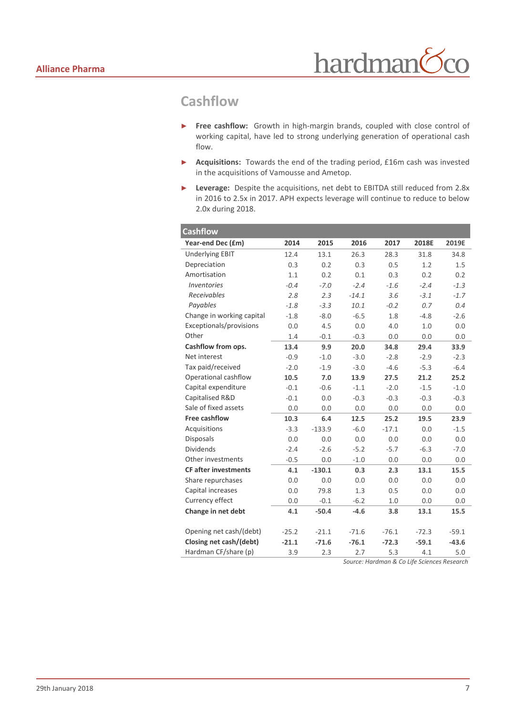## **Cashflow**

- ► **Free cashflow:** Growth in high-margin brands, coupled with close control of working capital, have led to strong underlying generation of operational cash flow.
- ► **Acquisitions:** Towards the end of the trading period, £16m cash was invested in the acquisitions of Vamousse and Ametop.
- ► **Leverage:** Despite the acquisitions, net debt to EBITDA still reduced from 2.8x in 2016 to 2.5x in 2017. APH expects leverage will continue to reduce to below 2.0x during 2018.

| <b>Cashflow</b>             |         |          |         |         |         |         |
|-----------------------------|---------|----------|---------|---------|---------|---------|
| Year-end Dec (£m)           | 2014    | 2015     | 2016    | 2017    | 2018E   | 2019E   |
| <b>Underlying EBIT</b>      | 12.4    | 13.1     | 26.3    | 28.3    | 31.8    | 34.8    |
| Depreciation                | 0.3     | 0.2      | 0.3     | 0.5     | 1.2     | 1.5     |
| Amortisation                | 1.1     | 0.2      | 0.1     | 0.3     | 0.2     | 0.2     |
| Inventories                 | $-0.4$  | $-7.0$   | $-2.4$  | $-1.6$  | $-2.4$  | $-1.3$  |
| Receivables                 | 2.8     | 2.3      | $-14.1$ | 3.6     | $-3.1$  | $-1.7$  |
| Payables                    | $-1.8$  | $-3.3$   | 10.1    | $-0.2$  | 0.7     | 0.4     |
| Change in working capital   | $-1.8$  | $-8.0$   | $-6.5$  | 1.8     | $-4.8$  | $-2.6$  |
| Exceptionals/provisions     | 0.0     | 4.5      | 0.0     | 4.0     | 1.0     | 0.0     |
| Other                       | 1.4     | $-0.1$   | $-0.3$  | 0.0     | 0.0     | 0.0     |
| Cashflow from ops.          | 13.4    | 9.9      | 20.0    | 34.8    | 29.4    | 33.9    |
| Net interest                | $-0.9$  | $-1.0$   | $-3.0$  | $-2.8$  | $-2.9$  | $-2.3$  |
| Tax paid/received           | $-2.0$  | $-1.9$   | $-3.0$  | $-4.6$  | $-5.3$  | $-6.4$  |
| Operational cashflow        | 10.5    | 7.0      | 13.9    | 27.5    | 21.2    | 25.2    |
| Capital expenditure         | $-0.1$  | $-0.6$   | $-1.1$  | $-2.0$  | $-1.5$  | $-1.0$  |
| Capitalised R&D             | $-0.1$  | 0.0      | $-0.3$  | $-0.3$  | $-0.3$  | $-0.3$  |
| Sale of fixed assets        | 0.0     | 0.0      | 0.0     | 0.0     | 0.0     | 0.0     |
| Free cashflow               | 10.3    | 6.4      | 12.5    | 25.2    | 19.5    | 23.9    |
| Acquisitions                | $-3.3$  | $-133.9$ | $-6.0$  | $-17.1$ | 0.0     | $-1.5$  |
| <b>Disposals</b>            | 0.0     | 0.0      | 0.0     | 0.0     | 0.0     | 0.0     |
| <b>Dividends</b>            | $-2.4$  | $-2.6$   | $-5.2$  | $-5.7$  | $-6.3$  | $-7.0$  |
| Other investments           | $-0.5$  | 0.0      | $-1.0$  | 0.0     | 0.0     | 0.0     |
| <b>CF after investments</b> | 4.1     | $-130.1$ | 0.3     | 2.3     | 13.1    | 15.5    |
| Share repurchases           | 0.0     | 0.0      | 0.0     | 0.0     | 0.0     | 0.0     |
| Capital increases           | 0.0     | 79.8     | 1.3     | 0.5     | 0.0     | 0.0     |
| Currency effect             | 0.0     | $-0.1$   | $-6.2$  | 1.0     | 0.0     | 0.0     |
| Change in net debt          | 4.1     | $-50.4$  | $-4.6$  | 3.8     | 13.1    | 15.5    |
| Opening net cash/(debt)     | $-25.2$ | $-21.1$  | $-71.6$ | $-76.1$ | $-72.3$ | $-59.1$ |
| Closing net cash/(debt)     | $-21.1$ | $-71.6$  | $-76.1$ | $-72.3$ | $-59.1$ | $-43.6$ |
| Hardman CF/share (p)        | 3.9     | 2.3      | 2.7     | 5.3     | 4.1     | 5.0     |

*Source: Hardman & Co Life Sciences Research*